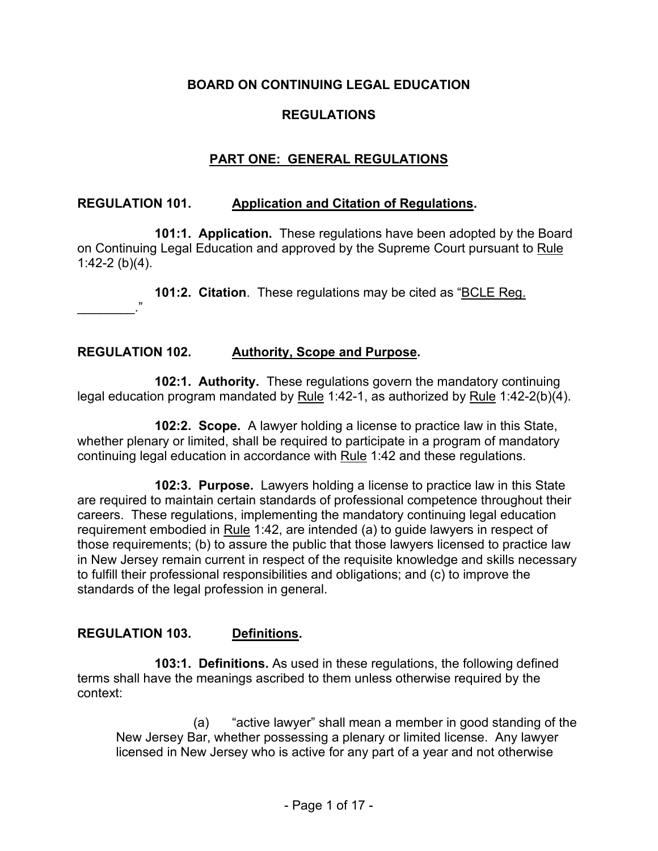### **BOARD ON CONTINUING LEGAL EDUCATION**

#### **REGULATIONS**

### **PART ONE: GENERAL REGULATIONS**

#### **REGULATION 101. Application and Citation of Regulations.**

**101:1. Application.** These regulations have been adopted by the Board on Continuing Legal Education and approved by the Supreme Court pursuant to Rule 1:42-2 (b)(4).

**101:2. Citation**. These regulations may be cited as "BCLE Reg.

# **REGULATION 102. Authority, Scope and Purpose.**

\_\_\_\_\_\_\_\_."

**102:1. Authority.** These regulations govern the mandatory continuing legal education program mandated by Rule 1:42-1, as authorized by Rule 1:42-2(b)(4).

**102:2. Scope.** A lawyer holding a license to practice law in this State, whether plenary or limited, shall be required to participate in a program of mandatory continuing legal education in accordance with Rule 1:42 and these regulations.

**102:3. Purpose.** Lawyers holding a license to practice law in this State are required to maintain certain standards of professional competence throughout their careers. These regulations, implementing the mandatory continuing legal education requirement embodied in Rule 1:42, are intended (a) to guide lawyers in respect of those requirements; (b) to assure the public that those lawyers licensed to practice law in New Jersey remain current in respect of the requisite knowledge and skills necessary to fulfill their professional responsibilities and obligations; and (c) to improve the standards of the legal profession in general.

#### **REGULATION 103. Definitions.**

**103:1. Definitions.** As used in these regulations, the following defined terms shall have the meanings ascribed to them unless otherwise required by the context:

(a) "active lawyer" shall mean a member in good standing of the New Jersey Bar, whether possessing a plenary or limited license. Any lawyer licensed in New Jersey who is active for any part of a year and not otherwise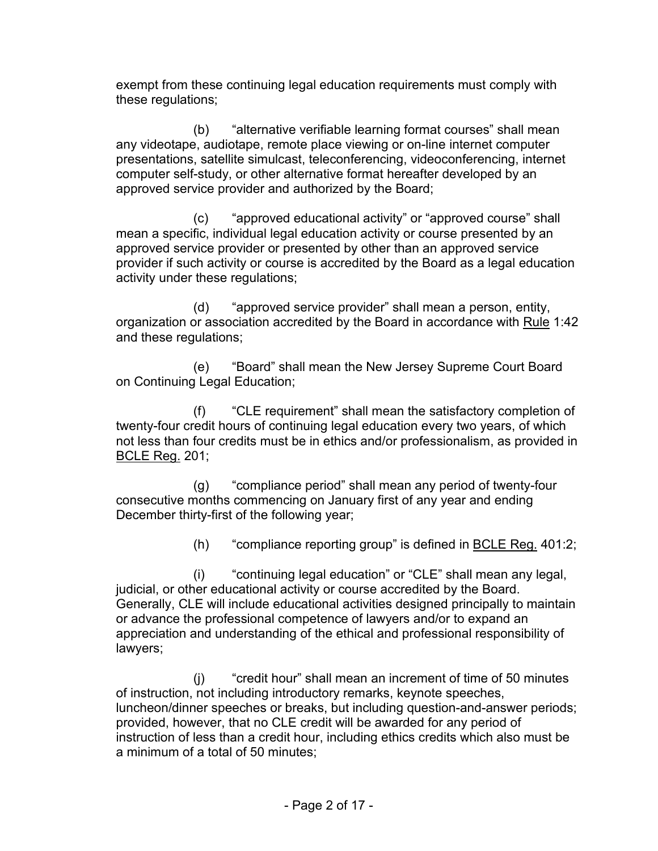exempt from these continuing legal education requirements must comply with these regulations;

(b) "alternative verifiable learning format courses" shall mean any videotape, audiotape, remote place viewing or on-line internet computer presentations, satellite simulcast, teleconferencing, videoconferencing, internet computer self-study, or other alternative format hereafter developed by an approved service provider and authorized by the Board;

(c) "approved educational activity" or "approved course" shall mean a specific, individual legal education activity or course presented by an approved service provider or presented by other than an approved service provider if such activity or course is accredited by the Board as a legal education activity under these regulations;

(d) "approved service provider" shall mean a person, entity, organization or association accredited by the Board in accordance with Rule 1:42 and these regulations;

(e) "Board" shall mean the New Jersey Supreme Court Board on Continuing Legal Education;

(f) "CLE requirement" shall mean the satisfactory completion of twenty-four credit hours of continuing legal education every two years, of which not less than four credits must be in ethics and/or professionalism, as provided in BCLE Reg. 201;

(g) "compliance period" shall mean any period of twenty-four consecutive months commencing on January first of any year and ending December thirty-first of the following year;

(h) "compliance reporting group" is defined in BCLE Reg. 401:2;

(i) "continuing legal education" or "CLE" shall mean any legal, judicial, or other educational activity or course accredited by the Board. Generally, CLE will include educational activities designed principally to maintain or advance the professional competence of lawyers and/or to expand an appreciation and understanding of the ethical and professional responsibility of lawyers;

(j) "credit hour" shall mean an increment of time of 50 minutes of instruction, not including introductory remarks, keynote speeches, luncheon/dinner speeches or breaks, but including question-and-answer periods; provided, however, that no CLE credit will be awarded for any period of instruction of less than a credit hour, including ethics credits which also must be a minimum of a total of 50 minutes;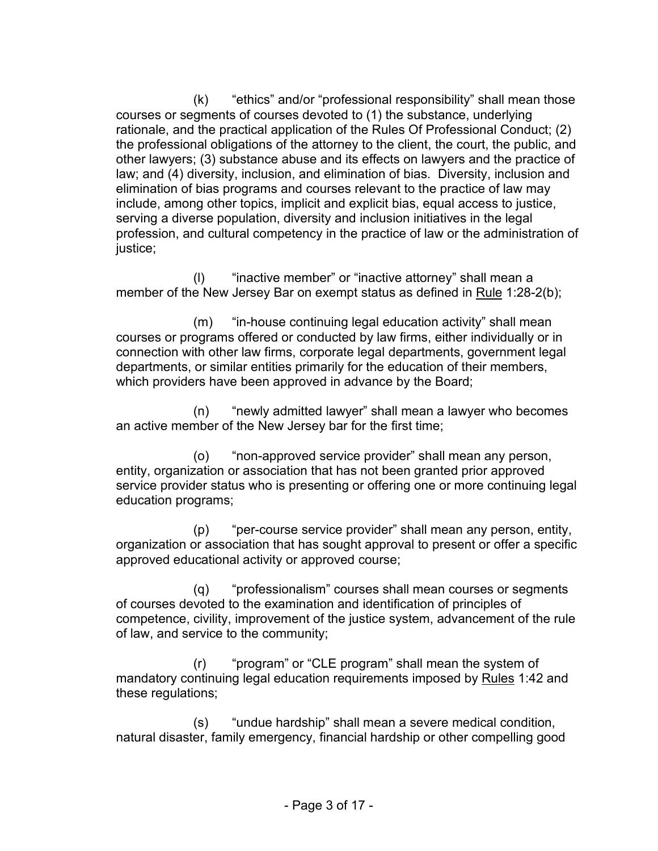(k) "ethics" and/or "professional responsibility" shall mean those courses or segments of courses devoted to (1) the substance, underlying rationale, and the practical application of the Rules Of Professional Conduct; (2) the professional obligations of the attorney to the client, the court, the public, and other lawyers; (3) substance abuse and its effects on lawyers and the practice of law; and (4) diversity, inclusion, and elimination of bias. Diversity, inclusion and elimination of bias programs and courses relevant to the practice of law may include, among other topics, implicit and explicit bias, equal access to justice, serving a diverse population, diversity and inclusion initiatives in the legal profession, and cultural competency in the practice of law or the administration of justice;

(l) "inactive member" or "inactive attorney" shall mean a member of the New Jersey Bar on exempt status as defined in Rule 1:28-2(b);

(m) "in-house continuing legal education activity" shall mean courses or programs offered or conducted by law firms, either individually or in connection with other law firms, corporate legal departments, government legal departments, or similar entities primarily for the education of their members, which providers have been approved in advance by the Board;

(n) "newly admitted lawyer" shall mean a lawyer who becomes an active member of the New Jersey bar for the first time;

(o) "non-approved service provider" shall mean any person, entity, organization or association that has not been granted prior approved service provider status who is presenting or offering one or more continuing legal education programs;

(p) "per-course service provider" shall mean any person, entity, organization or association that has sought approval to present or offer a specific approved educational activity or approved course;

(q) "professionalism" courses shall mean courses or segments of courses devoted to the examination and identification of principles of competence, civility, improvement of the justice system, advancement of the rule of law, and service to the community;

(r) "program" or "CLE program" shall mean the system of mandatory continuing legal education requirements imposed by Rules 1:42 and these regulations;

(s) "undue hardship" shall mean a severe medical condition, natural disaster, family emergency, financial hardship or other compelling good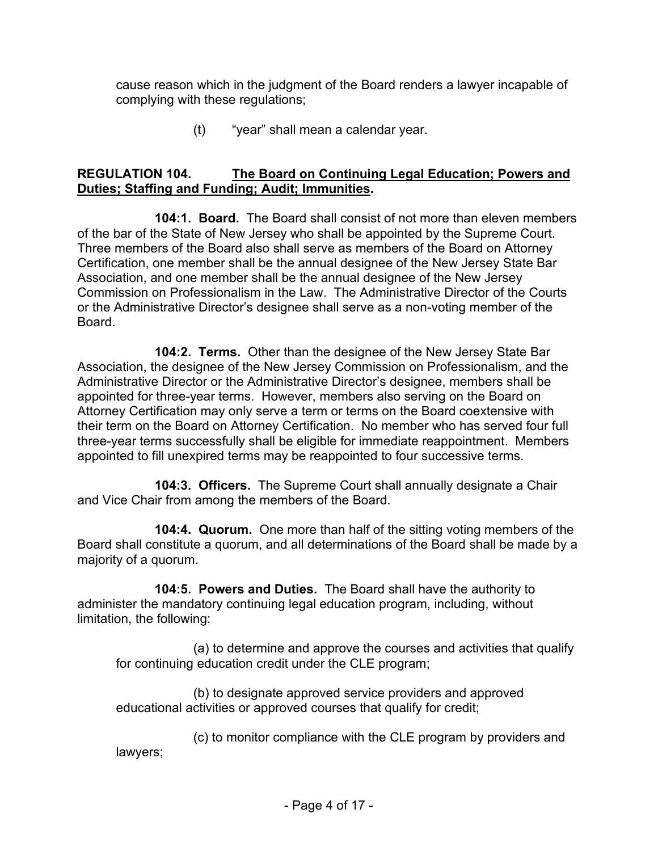cause reason which in the judgment of the Board renders a lawyer incapable of complying with these regulations;

(t) "year" shall mean a calendar year.

## **REGULATION 104. The Board on Continuing Legal Education; Powers and Duties; Staffing and Funding; Audit; Immunities.**

**104:1. Board.** The Board shall consist of not more than eleven members of the bar of the State of New Jersey who shall be appointed by the Supreme Court. Three members of the Board also shall serve as members of the Board on Attorney Certification, one member shall be the annual designee of the New Jersey State Bar Association, and one member shall be the annual designee of the New Jersey Commission on Professionalism in the Law. The Administrative Director of the Courts or the Administrative Director's designee shall serve as a non-voting member of the Board.

**104:2. Terms.** Other than the designee of the New Jersey State Bar Association, the designee of the New Jersey Commission on Professionalism, and the Administrative Director or the Administrative Director's designee, members shall be appointed for three-year terms. However, members also serving on the Board on Attorney Certification may only serve a term or terms on the Board coextensive with their term on the Board on Attorney Certification. No member who has served four full three-year terms successfully shall be eligible for immediate reappointment. Members appointed to fill unexpired terms may be reappointed to four successive terms.

**104:3. Officers.** The Supreme Court shall annually designate a Chair and Vice Chair from among the members of the Board.

**104:4. Quorum.** One more than half of the sitting voting members of the Board shall constitute a quorum, and all determinations of the Board shall be made by a majority of a quorum.

**104:5. Powers and Duties.** The Board shall have the authority to administer the mandatory continuing legal education program, including, without limitation, the following:

(a) to determine and approve the courses and activities that qualify for continuing education credit under the CLE program;

(b) to designate approved service providers and approved educational activities or approved courses that qualify for credit;

(c) to monitor compliance with the CLE program by providers and lawyers;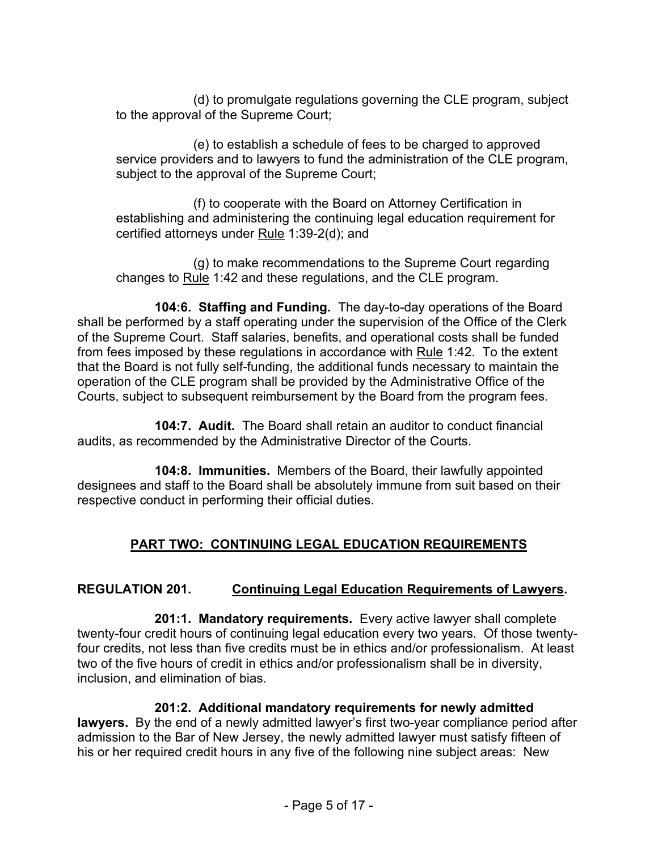(d) to promulgate regulations governing the CLE program, subject to the approval of the Supreme Court;

(e) to establish a schedule of fees to be charged to approved service providers and to lawyers to fund the administration of the CLE program, subject to the approval of the Supreme Court;

(f) to cooperate with the Board on Attorney Certification in establishing and administering the continuing legal education requirement for certified attorneys under Rule 1:39-2(d); and

(g) to make recommendations to the Supreme Court regarding changes to Rule 1:42 and these regulations, and the CLE program.

**104:6. Staffing and Funding.** The day-to-day operations of the Board shall be performed by a staff operating under the supervision of the Office of the Clerk of the Supreme Court. Staff salaries, benefits, and operational costs shall be funded from fees imposed by these regulations in accordance with Rule 1:42. To the extent that the Board is not fully self-funding, the additional funds necessary to maintain the operation of the CLE program shall be provided by the Administrative Office of the Courts, subject to subsequent reimbursement by the Board from the program fees.

**104:7. Audit.** The Board shall retain an auditor to conduct financial audits, as recommended by the Administrative Director of the Courts.

**104:8. Immunities.** Members of the Board, their lawfully appointed designees and staff to the Board shall be absolutely immune from suit based on their respective conduct in performing their official duties.

# **PART TWO: CONTINUING LEGAL EDUCATION REQUIREMENTS**

# **REGULATION 201. Continuing Legal Education Requirements of Lawyers.**

**201:1. Mandatory requirements.** Every active lawyer shall complete twenty-four credit hours of continuing legal education every two years. Of those twentyfour credits, not less than five credits must be in ethics and/or professionalism. At least two of the five hours of credit in ethics and/or professionalism shall be in diversity, inclusion, and elimination of bias.

# **201:2. Additional mandatory requirements for newly admitted**

**lawyers.** By the end of a newly admitted lawyer's first two-year compliance period after admission to the Bar of New Jersey, the newly admitted lawyer must satisfy fifteen of his or her required credit hours in any five of the following nine subject areas: New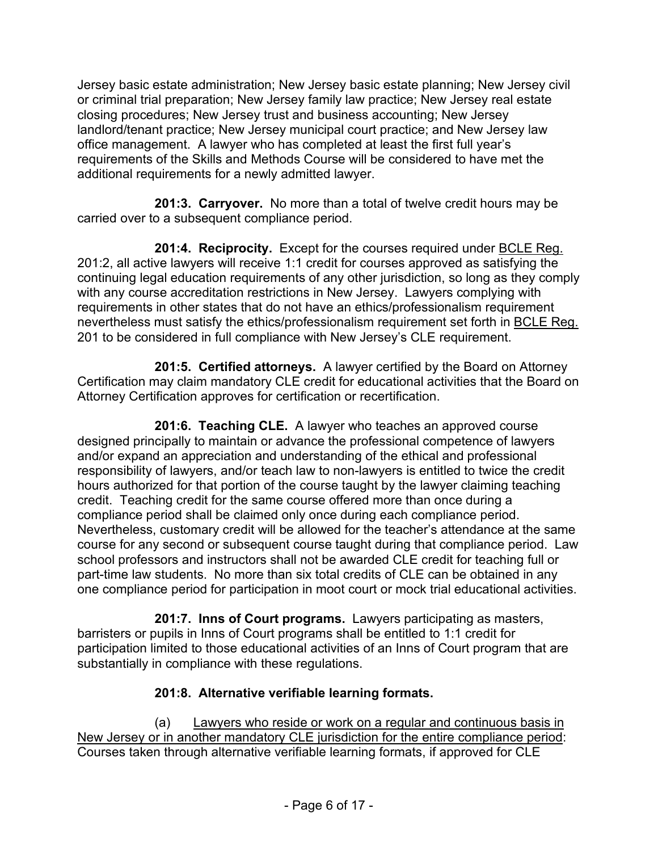Jersey basic estate administration; New Jersey basic estate planning; New Jersey civil or criminal trial preparation; New Jersey family law practice; New Jersey real estate closing procedures; New Jersey trust and business accounting; New Jersey landlord/tenant practice; New Jersey municipal court practice; and New Jersey law office management. A lawyer who has completed at least the first full year's requirements of the Skills and Methods Course will be considered to have met the additional requirements for a newly admitted lawyer.

**201:3. Carryover.** No more than a total of twelve credit hours may be carried over to a subsequent compliance period.

**201:4. Reciprocity.** Except for the courses required under BCLE Reg. 201:2, all active lawyers will receive 1:1 credit for courses approved as satisfying the continuing legal education requirements of any other jurisdiction, so long as they comply with any course accreditation restrictions in New Jersey. Lawyers complying with requirements in other states that do not have an ethics/professionalism requirement nevertheless must satisfy the ethics/professionalism requirement set forth in BCLE Reg. 201 to be considered in full compliance with New Jersey's CLE requirement.

**201:5. Certified attorneys.** A lawyer certified by the Board on Attorney Certification may claim mandatory CLE credit for educational activities that the Board on Attorney Certification approves for certification or recertification.

**201:6. Teaching CLE.** A lawyer who teaches an approved course designed principally to maintain or advance the professional competence of lawyers and/or expand an appreciation and understanding of the ethical and professional responsibility of lawyers, and/or teach law to non-lawyers is entitled to twice the credit hours authorized for that portion of the course taught by the lawyer claiming teaching credit. Teaching credit for the same course offered more than once during a compliance period shall be claimed only once during each compliance period. Nevertheless, customary credit will be allowed for the teacher's attendance at the same course for any second or subsequent course taught during that compliance period. Law school professors and instructors shall not be awarded CLE credit for teaching full or part-time law students. No more than six total credits of CLE can be obtained in any one compliance period for participation in moot court or mock trial educational activities.

**201:7. Inns of Court programs.** Lawyers participating as masters, barristers or pupils in Inns of Court programs shall be entitled to 1:1 credit for participation limited to those educational activities of an Inns of Court program that are substantially in compliance with these regulations.

# **201:8. Alternative verifiable learning formats.**

(a) Lawyers who reside or work on a regular and continuous basis in New Jersey or in another mandatory CLE jurisdiction for the entire compliance period: Courses taken through alternative verifiable learning formats, if approved for CLE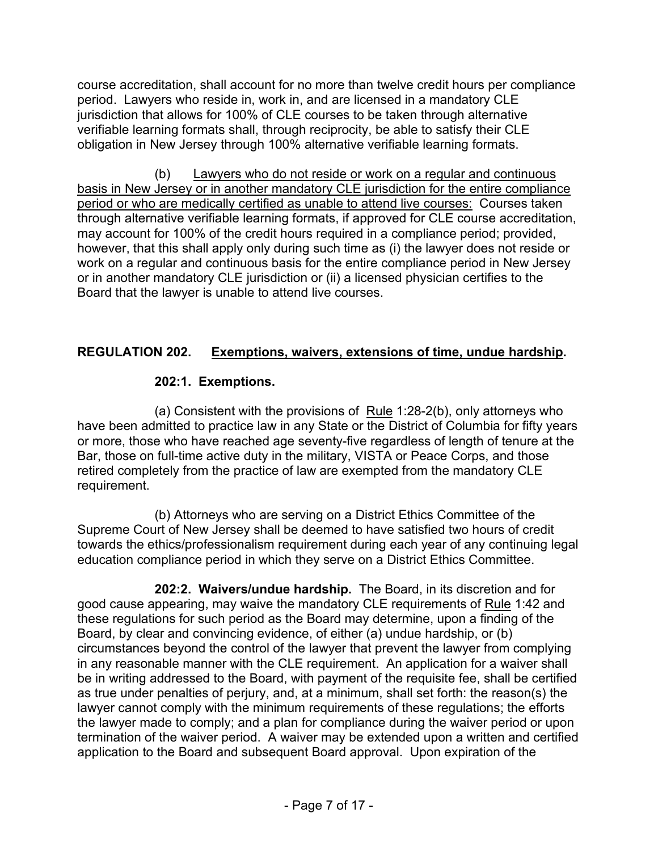course accreditation, shall account for no more than twelve credit hours per compliance period. Lawyers who reside in, work in, and are licensed in a mandatory CLE jurisdiction that allows for 100% of CLE courses to be taken through alternative verifiable learning formats shall, through reciprocity, be able to satisfy their CLE obligation in New Jersey through 100% alternative verifiable learning formats.

(b) Lawyers who do not reside or work on a regular and continuous basis in New Jersey or in another mandatory CLE jurisdiction for the entire compliance period or who are medically certified as unable to attend live courses: Courses taken through alternative verifiable learning formats, if approved for CLE course accreditation, may account for 100% of the credit hours required in a compliance period; provided, however, that this shall apply only during such time as (i) the lawyer does not reside or work on a regular and continuous basis for the entire compliance period in New Jersey or in another mandatory CLE jurisdiction or (ii) a licensed physician certifies to the Board that the lawyer is unable to attend live courses.

## **REGULATION 202. Exemptions, waivers, extensions of time, undue hardship.**

## **202:1. Exemptions.**

(a) Consistent with the provisions of Rule 1:28-2(b), only attorneys who have been admitted to practice law in any State or the District of Columbia for fifty years or more, those who have reached age seventy-five regardless of length of tenure at the Bar, those on full-time active duty in the military, VISTA or Peace Corps, and those retired completely from the practice of law are exempted from the mandatory CLE requirement.

(b) Attorneys who are serving on a District Ethics Committee of the Supreme Court of New Jersey shall be deemed to have satisfied two hours of credit towards the ethics/professionalism requirement during each year of any continuing legal education compliance period in which they serve on a District Ethics Committee.

**202:2. Waivers/undue hardship.** The Board, in its discretion and for good cause appearing, may waive the mandatory CLE requirements of Rule 1:42 and these regulations for such period as the Board may determine, upon a finding of the Board, by clear and convincing evidence, of either (a) undue hardship, or (b) circumstances beyond the control of the lawyer that prevent the lawyer from complying in any reasonable manner with the CLE requirement. An application for a waiver shall be in writing addressed to the Board, with payment of the requisite fee, shall be certified as true under penalties of perjury, and, at a minimum, shall set forth: the reason(s) the lawyer cannot comply with the minimum requirements of these regulations; the efforts the lawyer made to comply; and a plan for compliance during the waiver period or upon termination of the waiver period. A waiver may be extended upon a written and certified application to the Board and subsequent Board approval. Upon expiration of the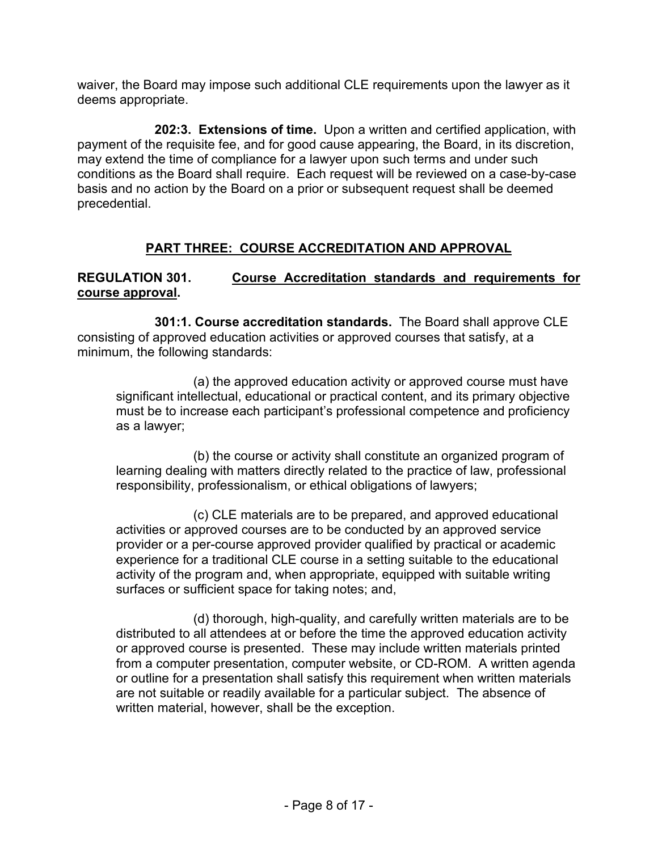waiver, the Board may impose such additional CLE requirements upon the lawyer as it deems appropriate.

**202:3. Extensions of time.** Upon a written and certified application, with payment of the requisite fee, and for good cause appearing, the Board, in its discretion, may extend the time of compliance for a lawyer upon such terms and under such conditions as the Board shall require. Each request will be reviewed on a case-by-case basis and no action by the Board on a prior or subsequent request shall be deemed precedential.

# **PART THREE: COURSE ACCREDITATION AND APPROVAL**

## **REGULATION 301. Course Accreditation standards and requirements for course approval.**

**301:1. Course accreditation standards.** The Board shall approve CLE consisting of approved education activities or approved courses that satisfy, at a minimum, the following standards:

(a) the approved education activity or approved course must have significant intellectual, educational or practical content, and its primary objective must be to increase each participant's professional competence and proficiency as a lawyer;

(b) the course or activity shall constitute an organized program of learning dealing with matters directly related to the practice of law, professional responsibility, professionalism, or ethical obligations of lawyers;

(c) CLE materials are to be prepared, and approved educational activities or approved courses are to be conducted by an approved service provider or a per-course approved provider qualified by practical or academic experience for a traditional CLE course in a setting suitable to the educational activity of the program and, when appropriate, equipped with suitable writing surfaces or sufficient space for taking notes; and,

(d) thorough, high-quality, and carefully written materials are to be distributed to all attendees at or before the time the approved education activity or approved course is presented. These may include written materials printed from a computer presentation, computer website, or CD-ROM. A written agenda or outline for a presentation shall satisfy this requirement when written materials are not suitable or readily available for a particular subject. The absence of written material, however, shall be the exception.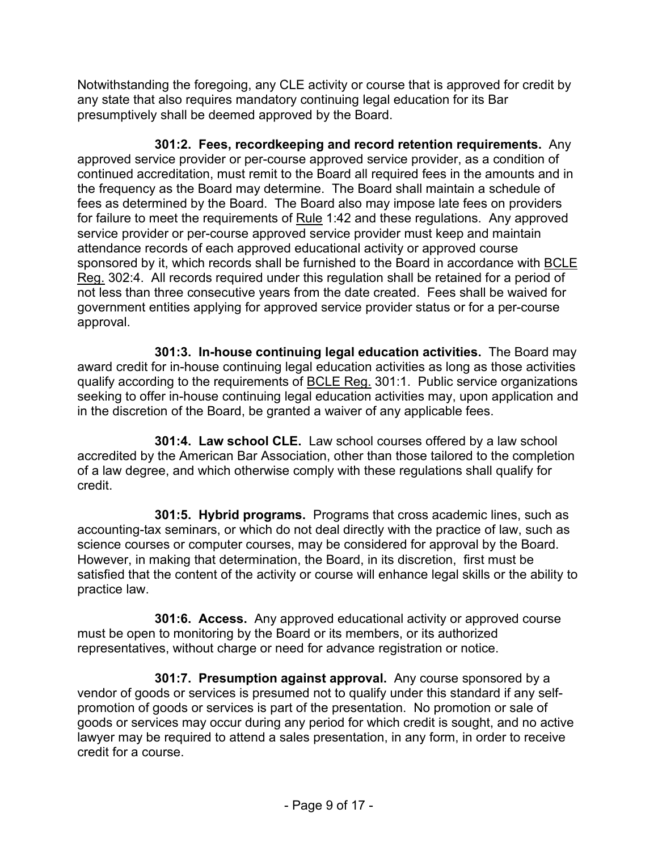Notwithstanding the foregoing, any CLE activity or course that is approved for credit by any state that also requires mandatory continuing legal education for its Bar presumptively shall be deemed approved by the Board.

**301:2. Fees, recordkeeping and record retention requirements.** Any approved service provider or per-course approved service provider, as a condition of continued accreditation, must remit to the Board all required fees in the amounts and in the frequency as the Board may determine. The Board shall maintain a schedule of fees as determined by the Board. The Board also may impose late fees on providers for failure to meet the requirements of Rule 1:42 and these regulations. Any approved service provider or per-course approved service provider must keep and maintain attendance records of each approved educational activity or approved course sponsored by it, which records shall be furnished to the Board in accordance with BCLE Reg. 302:4. All records required under this regulation shall be retained for a period of not less than three consecutive years from the date created. Fees shall be waived for government entities applying for approved service provider status or for a per-course approval.

**301:3. In-house continuing legal education activities.** The Board may award credit for in-house continuing legal education activities as long as those activities qualify according to the requirements of BCLE Reg. 301:1. Public service organizations seeking to offer in-house continuing legal education activities may, upon application and in the discretion of the Board, be granted a waiver of any applicable fees.

**301:4. Law school CLE.** Law school courses offered by a law school accredited by the American Bar Association, other than those tailored to the completion of a law degree, and which otherwise comply with these regulations shall qualify for credit.

**301:5. Hybrid programs.** Programs that cross academic lines, such as accounting-tax seminars, or which do not deal directly with the practice of law, such as science courses or computer courses, may be considered for approval by the Board. However, in making that determination, the Board, in its discretion, first must be satisfied that the content of the activity or course will enhance legal skills or the ability to practice law.

**301:6. Access.** Any approved educational activity or approved course must be open to monitoring by the Board or its members, or its authorized representatives, without charge or need for advance registration or notice.

**301:7. Presumption against approval.** Any course sponsored by a vendor of goods or services is presumed not to qualify under this standard if any selfpromotion of goods or services is part of the presentation. No promotion or sale of goods or services may occur during any period for which credit is sought, and no active lawyer may be required to attend a sales presentation, in any form, in order to receive credit for a course.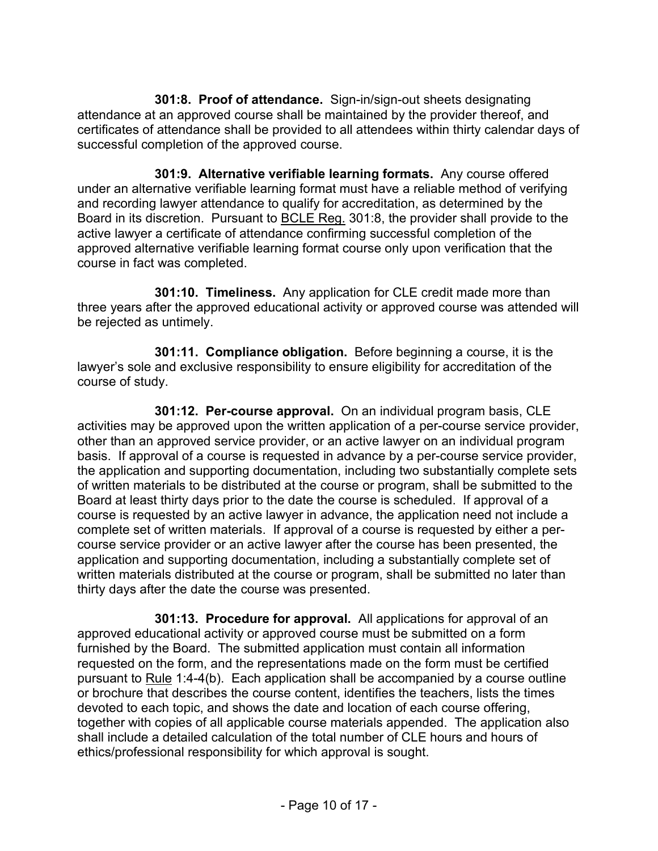**301:8. Proof of attendance.** Sign-in/sign-out sheets designating attendance at an approved course shall be maintained by the provider thereof, and certificates of attendance shall be provided to all attendees within thirty calendar days of successful completion of the approved course.

**301:9. Alternative verifiable learning formats.** Any course offered under an alternative verifiable learning format must have a reliable method of verifying and recording lawyer attendance to qualify for accreditation, as determined by the Board in its discretion. Pursuant to BCLE Reg. 301:8, the provider shall provide to the active lawyer a certificate of attendance confirming successful completion of the approved alternative verifiable learning format course only upon verification that the course in fact was completed.

**301:10. Timeliness.** Any application for CLE credit made more than three years after the approved educational activity or approved course was attended will be rejected as untimely.

**301:11. Compliance obligation.** Before beginning a course, it is the lawyer's sole and exclusive responsibility to ensure eligibility for accreditation of the course of study.

**301:12. Per-course approval.** On an individual program basis, CLE activities may be approved upon the written application of a per-course service provider, other than an approved service provider, or an active lawyer on an individual program basis. If approval of a course is requested in advance by a per-course service provider, the application and supporting documentation, including two substantially complete sets of written materials to be distributed at the course or program, shall be submitted to the Board at least thirty days prior to the date the course is scheduled. If approval of a course is requested by an active lawyer in advance, the application need not include a complete set of written materials. If approval of a course is requested by either a percourse service provider or an active lawyer after the course has been presented, the application and supporting documentation, including a substantially complete set of written materials distributed at the course or program, shall be submitted no later than thirty days after the date the course was presented.

**301:13. Procedure for approval.** All applications for approval of an approved educational activity or approved course must be submitted on a form furnished by the Board. The submitted application must contain all information requested on the form, and the representations made on the form must be certified pursuant to Rule 1:4-4(b). Each application shall be accompanied by a course outline or brochure that describes the course content, identifies the teachers, lists the times devoted to each topic, and shows the date and location of each course offering, together with copies of all applicable course materials appended. The application also shall include a detailed calculation of the total number of CLE hours and hours of ethics/professional responsibility for which approval is sought.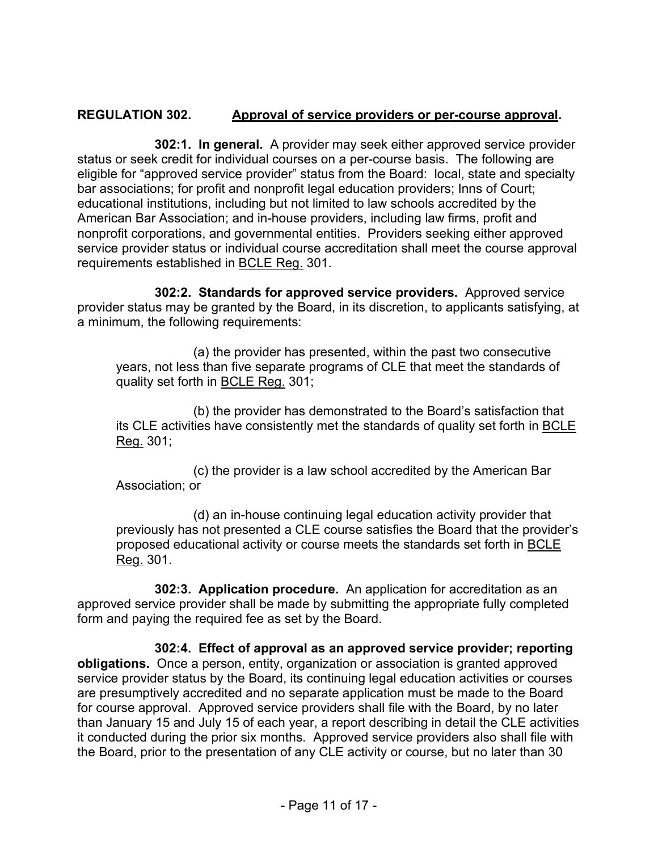### **REGULATION 302. Approval of service providers or per-course approval.**

**302:1. In general.** A provider may seek either approved service provider status or seek credit for individual courses on a per-course basis. The following are eligible for "approved service provider" status from the Board: local, state and specialty bar associations; for profit and nonprofit legal education providers; Inns of Court; educational institutions, including but not limited to law schools accredited by the American Bar Association; and in-house providers, including law firms, profit and nonprofit corporations, and governmental entities. Providers seeking either approved service provider status or individual course accreditation shall meet the course approval requirements established in BCLE Reg. 301.

**302:2. Standards for approved service providers.** Approved service provider status may be granted by the Board, in its discretion, to applicants satisfying, at a minimum, the following requirements:

(a) the provider has presented, within the past two consecutive years, not less than five separate programs of CLE that meet the standards of quality set forth in BCLE Reg. 301;

(b) the provider has demonstrated to the Board's satisfaction that its CLE activities have consistently met the standards of quality set forth in BCLE Reg. 301;

(c) the provider is a law school accredited by the American Bar Association; or

(d) an in-house continuing legal education activity provider that previously has not presented a CLE course satisfies the Board that the provider's proposed educational activity or course meets the standards set forth in BCLE Reg. 301.

**302:3. Application procedure.** An application for accreditation as an approved service provider shall be made by submitting the appropriate fully completed form and paying the required fee as set by the Board.

**302:4. Effect of approval as an approved service provider; reporting obligations.** Once a person, entity, organization or association is granted approved service provider status by the Board, its continuing legal education activities or courses are presumptively accredited and no separate application must be made to the Board for course approval. Approved service providers shall file with the Board, by no later than January 15 and July 15 of each year, a report describing in detail the CLE activities it conducted during the prior six months. Approved service providers also shall file with the Board, prior to the presentation of any CLE activity or course, but no later than 30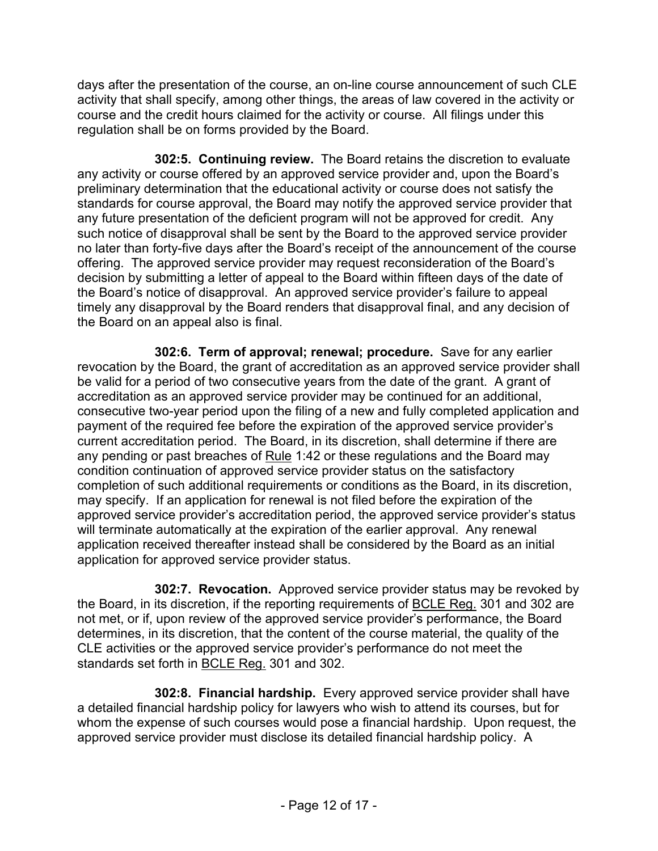days after the presentation of the course, an on-line course announcement of such CLE activity that shall specify, among other things, the areas of law covered in the activity or course and the credit hours claimed for the activity or course. All filings under this regulation shall be on forms provided by the Board.

**302:5. Continuing review.** The Board retains the discretion to evaluate any activity or course offered by an approved service provider and, upon the Board's preliminary determination that the educational activity or course does not satisfy the standards for course approval, the Board may notify the approved service provider that any future presentation of the deficient program will not be approved for credit. Any such notice of disapproval shall be sent by the Board to the approved service provider no later than forty-five days after the Board's receipt of the announcement of the course offering. The approved service provider may request reconsideration of the Board's decision by submitting a letter of appeal to the Board within fifteen days of the date of the Board's notice of disapproval. An approved service provider's failure to appeal timely any disapproval by the Board renders that disapproval final, and any decision of the Board on an appeal also is final.

**302:6. Term of approval; renewal; procedure.** Save for any earlier revocation by the Board, the grant of accreditation as an approved service provider shall be valid for a period of two consecutive years from the date of the grant. A grant of accreditation as an approved service provider may be continued for an additional, consecutive two-year period upon the filing of a new and fully completed application and payment of the required fee before the expiration of the approved service provider's current accreditation period. The Board, in its discretion, shall determine if there are any pending or past breaches of Rule 1:42 or these regulations and the Board may condition continuation of approved service provider status on the satisfactory completion of such additional requirements or conditions as the Board, in its discretion, may specify. If an application for renewal is not filed before the expiration of the approved service provider's accreditation period, the approved service provider's status will terminate automatically at the expiration of the earlier approval. Any renewal application received thereafter instead shall be considered by the Board as an initial application for approved service provider status.

**302:7. Revocation.** Approved service provider status may be revoked by the Board, in its discretion, if the reporting requirements of BCLE Reg. 301 and 302 are not met, or if, upon review of the approved service provider's performance, the Board determines, in its discretion, that the content of the course material, the quality of the CLE activities or the approved service provider's performance do not meet the standards set forth in BCLE Reg. 301 and 302.

**302:8. Financial hardship.** Every approved service provider shall have a detailed financial hardship policy for lawyers who wish to attend its courses, but for whom the expense of such courses would pose a financial hardship. Upon request, the approved service provider must disclose its detailed financial hardship policy. A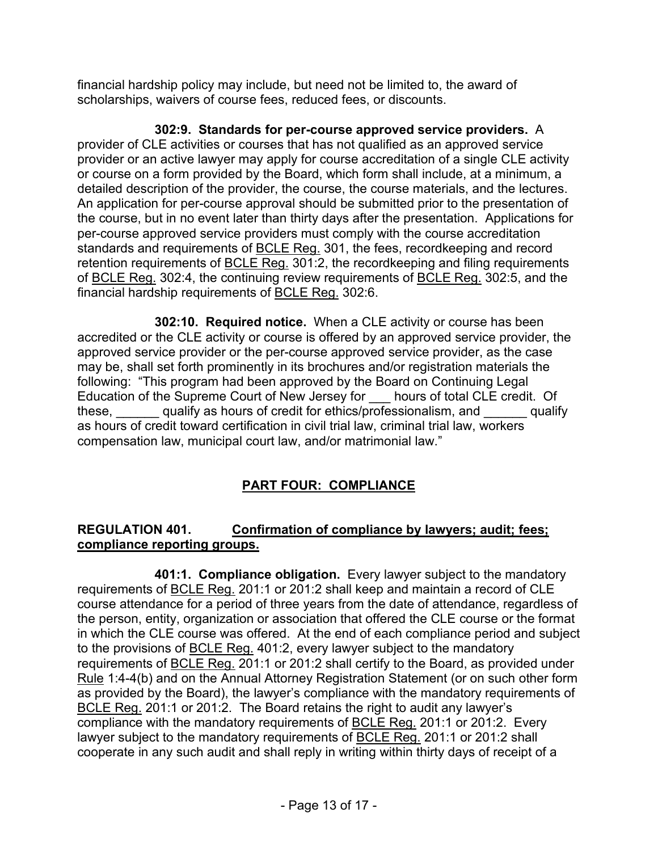financial hardship policy may include, but need not be limited to, the award of scholarships, waivers of course fees, reduced fees, or discounts.

**302:9. Standards for per-course approved service providers.** A provider of CLE activities or courses that has not qualified as an approved service provider or an active lawyer may apply for course accreditation of a single CLE activity or course on a form provided by the Board, which form shall include, at a minimum, a detailed description of the provider, the course, the course materials, and the lectures. An application for per-course approval should be submitted prior to the presentation of the course, but in no event later than thirty days after the presentation. Applications for per-course approved service providers must comply with the course accreditation standards and requirements of BCLE Reg. 301, the fees, recordkeeping and record retention requirements of BCLE Reg. 301:2, the recordkeeping and filing requirements of BCLE Reg. 302:4, the continuing review requirements of BCLE Reg. 302:5, and the financial hardship requirements of BCLE Reg. 302:6.

**302:10. Required notice.** When a CLE activity or course has been accredited or the CLE activity or course is offered by an approved service provider, the approved service provider or the per-course approved service provider, as the case may be, shall set forth prominently in its brochures and/or registration materials the following: "This program had been approved by the Board on Continuing Legal Education of the Supreme Court of New Jersey for \_\_\_ hours of total CLE credit. Of these,  $\qquad$  qualify as hours of credit for ethics/professionalism, and  $\qquad$  qualify as hours of credit toward certification in civil trial law, criminal trial law, workers compensation law, municipal court law, and/or matrimonial law."

# **PART FOUR: COMPLIANCE**

# **REGULATION 401. Confirmation of compliance by lawyers; audit; fees; compliance reporting groups.**

**401:1. Compliance obligation.** Every lawyer subject to the mandatory requirements of BCLE Reg. 201:1 or 201:2 shall keep and maintain a record of CLE course attendance for a period of three years from the date of attendance, regardless of the person, entity, organization or association that offered the CLE course or the format in which the CLE course was offered. At the end of each compliance period and subject to the provisions of BCLE Reg. 401:2, every lawyer subject to the mandatory requirements of BCLE Reg. 201:1 or 201:2 shall certify to the Board, as provided under Rule 1:4-4(b) and on the Annual Attorney Registration Statement (or on such other form as provided by the Board), the lawyer's compliance with the mandatory requirements of BCLE Reg. 201:1 or 201:2. The Board retains the right to audit any lawyer's compliance with the mandatory requirements of BCLE Reg. 201:1 or 201:2. Every lawyer subject to the mandatory requirements of **BCLE Reg.** 201:1 or 201:2 shall cooperate in any such audit and shall reply in writing within thirty days of receipt of a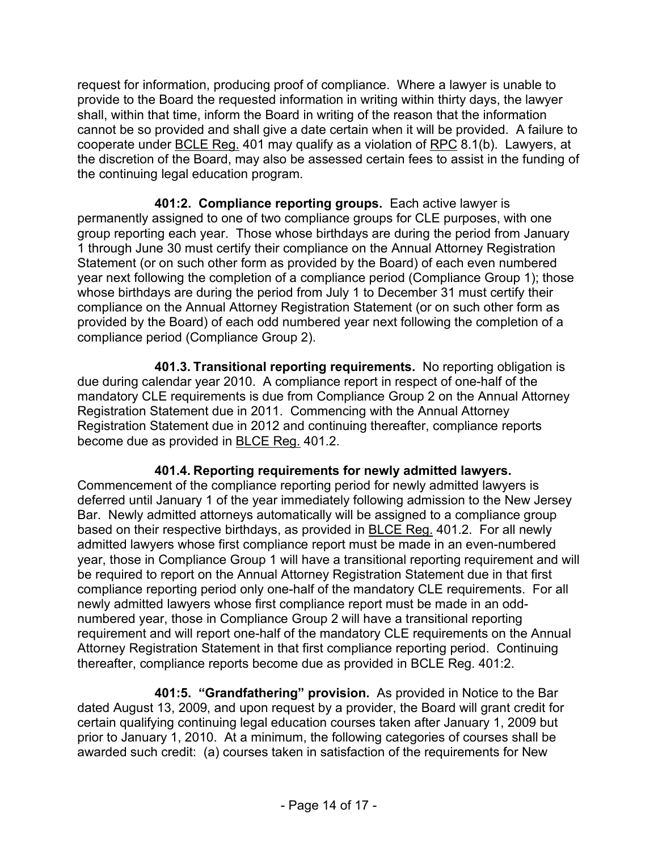request for information, producing proof of compliance. Where a lawyer is unable to provide to the Board the requested information in writing within thirty days, the lawyer shall, within that time, inform the Board in writing of the reason that the information cannot be so provided and shall give a date certain when it will be provided. A failure to cooperate under BCLE Reg. 401 may qualify as a violation of RPC 8.1(b). Lawyers, at the discretion of the Board, may also be assessed certain fees to assist in the funding of the continuing legal education program.

**401:2. Compliance reporting groups.** Each active lawyer is permanently assigned to one of two compliance groups for CLE purposes, with one group reporting each year. Those whose birthdays are during the period from January 1 through June 30 must certify their compliance on the Annual Attorney Registration Statement (or on such other form as provided by the Board) of each even numbered year next following the completion of a compliance period (Compliance Group 1); those whose birthdays are during the period from July 1 to December 31 must certify their compliance on the Annual Attorney Registration Statement (or on such other form as provided by the Board) of each odd numbered year next following the completion of a compliance period (Compliance Group 2).

**401.3. Transitional reporting requirements.** No reporting obligation is due during calendar year 2010. A compliance report in respect of one-half of the mandatory CLE requirements is due from Compliance Group 2 on the Annual Attorney Registration Statement due in 2011. Commencing with the Annual Attorney Registration Statement due in 2012 and continuing thereafter, compliance reports become due as provided in BLCE Reg. 401.2.

### **401.4. Reporting requirements for newly admitted lawyers.**

Commencement of the compliance reporting period for newly admitted lawyers is deferred until January 1 of the year immediately following admission to the New Jersey Bar. Newly admitted attorneys automatically will be assigned to a compliance group based on their respective birthdays, as provided in BLCE Reg. 401.2. For all newly admitted lawyers whose first compliance report must be made in an even-numbered year, those in Compliance Group 1 will have a transitional reporting requirement and will be required to report on the Annual Attorney Registration Statement due in that first compliance reporting period only one-half of the mandatory CLE requirements. For all newly admitted lawyers whose first compliance report must be made in an oddnumbered year, those in Compliance Group 2 will have a transitional reporting requirement and will report one-half of the mandatory CLE requirements on the Annual Attorney Registration Statement in that first compliance reporting period. Continuing thereafter, compliance reports become due as provided in BCLE Reg. 401:2.

**401:5. "Grandfathering" provision.** As provided in Notice to the Bar dated August 13, 2009, and upon request by a provider, the Board will grant credit for certain qualifying continuing legal education courses taken after January 1, 2009 but prior to January 1, 2010. At a minimum, the following categories of courses shall be awarded such credit: (a) courses taken in satisfaction of the requirements for New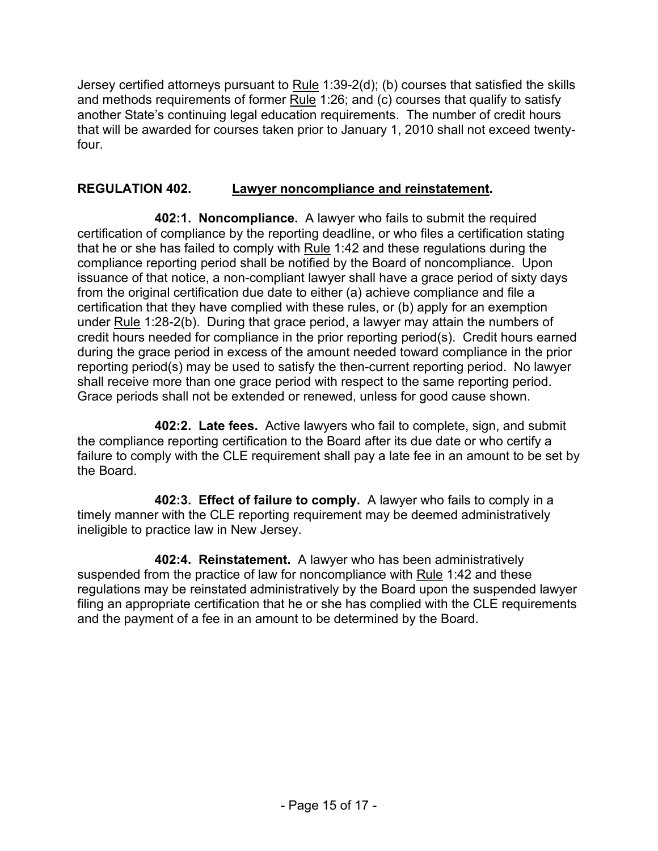Jersey certified attorneys pursuant to  $Rule 1:39-2(d)$ ; (b) courses that satisfied the skills and methods requirements of former Rule 1:26; and (c) courses that qualify to satisfy another State's continuing legal education requirements. The number of credit hours that will be awarded for courses taken prior to January 1, 2010 shall not exceed twentyfour.

### **REGULATION 402. Lawyer noncompliance and reinstatement.**

**402:1. Noncompliance.** A lawyer who fails to submit the required certification of compliance by the reporting deadline, or who files a certification stating that he or she has failed to comply with Rule 1:42 and these regulations during the compliance reporting period shall be notified by the Board of noncompliance. Upon issuance of that notice, a non-compliant lawyer shall have a grace period of sixty days from the original certification due date to either (a) achieve compliance and file a certification that they have complied with these rules, or (b) apply for an exemption under Rule 1:28-2(b). During that grace period, a lawyer may attain the numbers of credit hours needed for compliance in the prior reporting period(s). Credit hours earned during the grace period in excess of the amount needed toward compliance in the prior reporting period(s) may be used to satisfy the then-current reporting period. No lawyer shall receive more than one grace period with respect to the same reporting period. Grace periods shall not be extended or renewed, unless for good cause shown.

**402:2. Late fees.** Active lawyers who fail to complete, sign, and submit the compliance reporting certification to the Board after its due date or who certify a failure to comply with the CLE requirement shall pay a late fee in an amount to be set by the Board.

**402:3. Effect of failure to comply.** A lawyer who fails to comply in a timely manner with the CLE reporting requirement may be deemed administratively ineligible to practice law in New Jersey.

**402:4. Reinstatement.** A lawyer who has been administratively suspended from the practice of law for noncompliance with Rule 1:42 and these regulations may be reinstated administratively by the Board upon the suspended lawyer filing an appropriate certification that he or she has complied with the CLE requirements and the payment of a fee in an amount to be determined by the Board.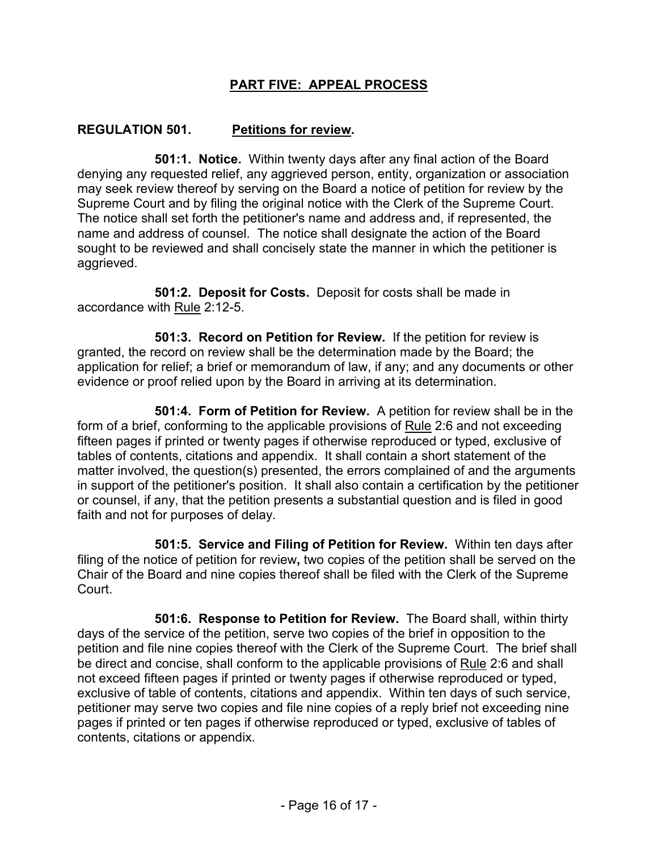### **PART FIVE: APPEAL PROCESS**

#### **REGULATION 501. Petitions for review.**

**501:1. Notice.** Within twenty days after any final action of the Board denying any requested relief, any aggrieved person, entity, organization or association may seek review thereof by serving on the Board a notice of petition for review by the Supreme Court and by filing the original notice with the Clerk of the Supreme Court. The notice shall set forth the petitioner's name and address and, if represented, the name and address of counsel. The notice shall designate the action of the Board sought to be reviewed and shall concisely state the manner in which the petitioner is aggrieved.

**501:2. Deposit for Costs.** Deposit for costs shall be made in accordance with Rule 2:12-5.

**501:3. Record on Petition for Review.** If the petition for review is granted, the record on review shall be the determination made by the Board; the application for relief; a brief or memorandum of law, if any; and any documents or other evidence or proof relied upon by the Board in arriving at its determination.

**501:4. Form of Petition for Review.** A petition for review shall be in the form of a brief, conforming to the applicable provisions of Rule 2:6 and not exceeding fifteen pages if printed or twenty pages if otherwise reproduced or typed, exclusive of tables of contents, citations and appendix. It shall contain a short statement of the matter involved, the question(s) presented, the errors complained of and the arguments in support of the petitioner's position. It shall also contain a certification by the petitioner or counsel, if any, that the petition presents a substantial question and is filed in good faith and not for purposes of delay.

**501:5. Service and Filing of Petition for Review.** Within ten days after filing of the notice of petition for review**,** two copies of the petition shall be served on the Chair of the Board and nine copies thereof shall be filed with the Clerk of the Supreme Court.

**501:6. Response to Petition for Review.** The Board shall, within thirty days of the service of the petition, serve two copies of the brief in opposition to the petition and file nine copies thereof with the Clerk of the Supreme Court. The brief shall be direct and concise, shall conform to the applicable provisions of Rule 2:6 and shall not exceed fifteen pages if printed or twenty pages if otherwise reproduced or typed, exclusive of table of contents, citations and appendix. Within ten days of such service, petitioner may serve two copies and file nine copies of a reply brief not exceeding nine pages if printed or ten pages if otherwise reproduced or typed, exclusive of tables of contents, citations or appendix.